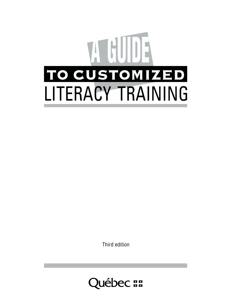

Third edition

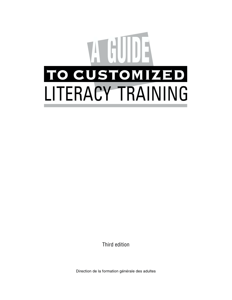

Third edition

Direction de la formation générale des adultes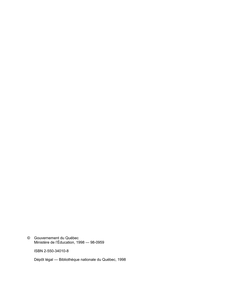© Gouvernement du QuÈbec Ministère de l'Éducation, 1998 — 98-0959

ISBN 2-550-34010-8

Dépôt légal - Bibliothèque nationale du Québec, 1998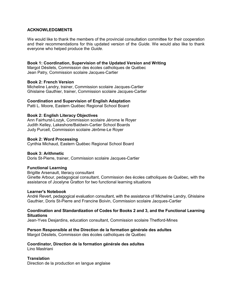### **ACKNOWLEDGMENTS**

We would like to thank the members of the provincial consultation committee for their cooperation and their recommendations for this updated version of the *Guide*. We would also like to thank everyone who helped produce the *Guide*.

#### **Book 1: Coordination, Supervision of the Updated Version and Writing**

Margot Désilets, Commission des écoles catholiques de Québec Jean Patry, Commission scolaire Jacques-Cartier

#### **Book 2: French Version**

Micheline Landry, trainer, Commission scolaire Jacques-Cartier Ghislaine Gauthier, trainer, Commission scolaire Jacques-Cartier

#### **Coordination and Supervision of English Adaptation**

Patti L. Moore, Eastern Québec Regional School Board

#### **Book 2: English Literacy Objectives**

Ann Fairhurst-Lozyk, Commission scolaire Jérome le Royer Judith Kelley, Lakeshore/Baldwin-Cartier School Boards Judy Purcell, Commission scolaire Jérôme-Le Royer

#### **Book 2: Word Processing**

Cynthia Michaud, Eastern Québec Regional School Board

#### **Book 3: Arithmetic**

Doris St-Pierre, trainer, Commission scolaire Jacques-Cartier

#### **Functional Learning**

Brigitte Arsenault, literacy consultant Ginette Arbour, pedagogical consultant, Commission des écoles catholiques de Québec, with the assistance of Jocelyne Gratton for two functional learning situations

#### **Learner's Notebook**

André Revert, pedagogical evaluation consultant, with the assistance of Micheline Landry, Ghislaine Gauthier, Doris St-Pierre and Francine Boivin, Commission scolaire Jacques-Cartier

#### **Coordination and Standardization of Codes for Books 2 and 3, and the Functional Learning Situations**

Jean-Yves Desjardins, education consultant, Commission scolaire Thetford-Mines

#### **Person Responsible at the Direction de la formation générale des adultes**

Margot Désilets, Commission des écoles catholiques de Québec

## Coordinator, Direction de la formation générale des adultes

Lino Mastriani

#### **Translation**

Direction de la production en langue anglaise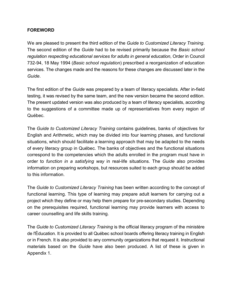# **FOREWORD**

We are pleased to present the third edition of the *Guide to Customized Literacy Training*. The second edition of the *Guide* had to be revised primarily because the *Basic school regulation respecting educational services for adults in general education*, Order in Council 732-94, 18 May 1994 (*Basic school regulation*) prescribed a reorganization of education services. The changes made and the reasons for these changes are discussed later in the *Guide*.

The first edition of the *Guide* was prepared by a team of literacy specialists. After in-field testing, it was revised by the same team, and the new version became the second edition. The present updated version was also produced by a team of literacy specialists, according to the suggestions of a committee made up of representatives from every region of Québec.

The *Guide to Customized Literacy Training* contains guidelines, banks of objectives for English and Arithmetic, which may be divided into four learning phases, and functional situations, which should facilitate a learning approach that may be adapted to the needs of every literacy group in QuÈbec. The banks of objectives and the functional situations correspond to the competencies which the adults enrolled in the program must have in order to *function in a satisfying way* in real-life situations. The *Guide* also provides information on preparing workshops, but resources suited to each group should be added to this information.

The *Guide to Customized Literacy Training* has been written according to the concept of functional learning. This type of learning may prepare adult learners for carrying out a project which they define or may help them prepare for pre-secondary studies. Depending on the prerequisites required, functional learning may provide learners with access to career counselling and life skills training.

The *Guide to Customized Literacy Training* is the official literacy program of the ministère de l'Éducation. It is provided to all Québec school boards offering literacy training in English or in French. It is also provided to any community organizations that request it. Instructional materials based on the *Guide* have also been produced. A list of these is given in Appendix 1.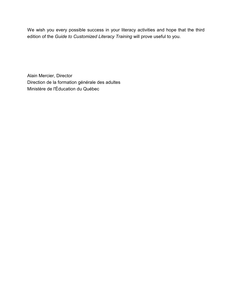We wish you every possible success in your literacy activities and hope that the third edition of the *Guide to Customized Literacy Training* will prove useful to you.

Alain Mercier, Director Direction de la formation générale des adultes Ministère de l'Éducation du Québec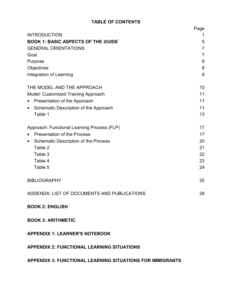# **TABLE OF CONTENTS**

|                                                          | Page           |
|----------------------------------------------------------|----------------|
| <b>INTRODUCTION</b>                                      | 1              |
| <b>BOOK 1: BASIC ASPECTS OF THE GUIDE</b>                | 5              |
| <b>GENERAL ORIENTATIONS</b>                              | $\overline{7}$ |
| Goal                                                     | $\overline{7}$ |
| Purpose                                                  | 8              |
| Objectives                                               | 8              |
| Integration of Learning                                  | 9              |
| THE MODEL AND THE APPROACH                               | 10             |
| Model: Customized Training Approach                      | 11             |
| Presentation of the Approach<br>$\bullet$                | 11             |
| Schematic Description of the Approach<br>$\bullet$       | 11             |
| Table 1                                                  | 13             |
| Approach: Functional Learning Process (FLP)              | 17             |
| <b>Presentation of the Process</b><br>$\bullet$          | 17             |
| <b>Schematic Description of the Process</b><br>$\bullet$ | 20             |
| Table 2                                                  | 21             |
| Table 3                                                  | 22             |
| Table 4                                                  | 23             |
| Table 5                                                  | 24             |
| <b>BIBLIOGRAPHY</b>                                      | 25             |
| ADDENDA: LIST OF DOCUMENTS AND PUBLICATIONS              | 28             |
| <b>BOOK 2: ENGLISH</b>                                   |                |
| <b>BOOK 3: ARITHMETIC</b>                                |                |
| <b>APPENDIX 1: LEARNER'S NOTEBOOK</b>                    |                |
| <b>APPENDIX 2: FUNCTIONAL LEARNING SITUATIONS</b>        |                |

# **APPENDIX 3: FUNCTIONAL LEARNING SITUATIONS FOR IMMIGRANTS**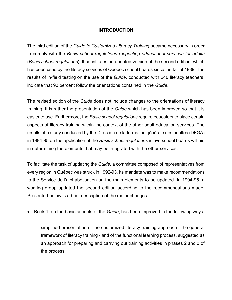## **INTRODUCTION**

The third edition of the *Guide to Customized Literacy Training* became necessary in order to comply with the *Basic school regulations respecting educational services for adults* (*Basic school regulations*). It constitutes an updated version of the second edition, which has been used by the literacy services of Québec school boards since the fall of 1989. The results of in-field testing on the use of the *Guide*, conducted with 240 literacy teachers, indicate that 90 percent follow the orientations contained in the *Guide*.

The revised edition of the *Guide* does not include changes to the orientations of literacy training. It is rather the presentation of the *Guide* which has been improved so that it is easier to use. Furthermore, the *Basic school regulations* require educators to place certain aspects of literacy training within the context of the other adult education services. The results of a study conducted by the Direction de la formation générale des adultes (DFGA) in 1994-95 on the application of the *Basic school regulations* in five school boards will aid in determining the elements that may be integrated with the other services.

To facilitate the task of updating the *Guide*, a committee composed of representatives from every region in QuÈbec was struck in 1992-93. Its mandate was to make recommendations to the Service de l'alphabétisation on the main elements to be updated. In 1994-95, a working group updated the second edition according to the recommendations made. Presented below is a brief description of the major changes.

- Book 1, on the basic aspects of the *Guide*, has been improved in the following ways:
	- simplified presentation of the customized literacy training approach the general framework of literacy training - and of the functional learning process, suggested as an approach for preparing and carrying out training activities in phases 2 and 3 of the process;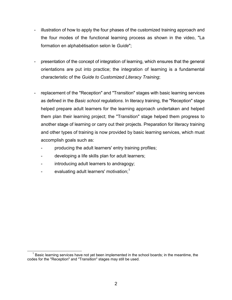- illustration of how to apply the four phases of the customized training approach and the four modes of the functional learning process as shown in the video, "La formation en alphabétisation selon le *Guide*";
- presentation of the concept of integration of learning, which ensures that the general orientations are put into practice; the integration of learning is a fundamental characteristic of the *Guide to Customized Literacy Training*;
- replacement of the "Reception" and "Transition" stages with basic learning services as defined in the *Basic school regulations*. In literacy training, the "Reception" stage helped prepare adult learners for the learning approach undertaken and helped them plan their learning project; the "Transition" stage helped them progress to another stage of learning or carry out their projects. Preparation for literacy training and other types of training is now provided by basic learning services, which must accomplish goals such as:
	- producing the adult learners' entry training profiles;
	- developing a life skills plan for adult learners;
	- introducing adult learners to andragogy;
	- evaluating adult learners' motivation;<sup>1</sup>

 $1$  Basic learning services have not yet been implemented in the school boards; in the meantime, the codes for the "Reception" and "Transition" stages may still be used.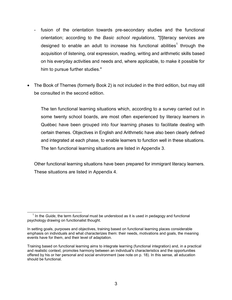- fusion of the orientation towards pre-secondary studies and the functional orientation; according to the *Basic school regulations*, "[l]iteracy services are designed to enable an adult to increase his functional abilities<sup>1</sup> through the acquisition of listening, oral expression, reading, writing and arithmetic skills based on his everyday activities and needs and, where applicable, to make it possible for him to pursue further studies."
- The Book of Themes (formerly Book 2) is not included in the third edition, but may still be consulted in the second edition.

The ten functional learning situations which, according to a survey carried out in some twenty school boards, are most often experienced by literacy learners in Québec have been grouped into four learning phases to facilitate dealing with certain themes. Objectives in English and Arithmetic have also been clearly defined and integrated at each phase, to enable learners to function well in these situations. The ten functional learning situations are listed in Appendix 3.

Other functional learning situations have been prepared for immigrant literacy learners. These situations are listed in Appendix 4.

<sup>&</sup>lt;sup>1</sup> In the *Guide*, the term *functional* must be understood as it is used in pedagogy and functional psychology drawing on functionalist thought.

In setting goals, purposes and objectives, training based on functional learning places considerable emphasis on individuals and what characterizes them: their needs, motivations and goals, the meaning events have for them, and their level of adaptation.

Training based on functional learning aims to integrate learning (functional integration) and, in a practical and realistic context, promotes harmony between an individual's characteristics and the opportunities offered by his or her personal and social environment (see note on p. 18). In this sense, all education should be functional.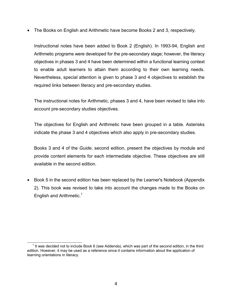• The Books on English and Arithmetic have become Books 2 and 3, respectively.

Instructional notes have been added to Book 2 (English). In 1993-94, English and Arithmetic programs were developed for the pre-secondary stage; however, the literacy objectives in phases 3 and 4 have been determined within a functional learning context to enable adult learners to attain them according to their own learning needs. Nevertheless, special attention is given to phase 3 and 4 objectives to establish the required links between literacy and pre-secondary studies.

The instructional notes for Arithmetic, phases 3 and 4, have been revised to take into account pre-secondary studies objectives.

The objectives for English and Arithmetic have been grouped in a table. Asterisks indicate the phase 3 and 4 objectives which also apply in pre-secondary studies.

Books 3 and 4 of the *Guide*, second edition, present the objectives by module and provide content elements for each intermediate objective. These objectives are still available in the second edition.

• Book 5 in the second edition has been replaced by the Learner's Notebook (Appendix 2). This book was revised to take into account the changes made to the Books on English and Arithmetic.<sup>1</sup>

 $1$  It was decided not to include Book 6 (see Addenda), which was part of the second edition, in the third edition. However, it may be used as a reference since it contains information about the application of learning orientations in literacy.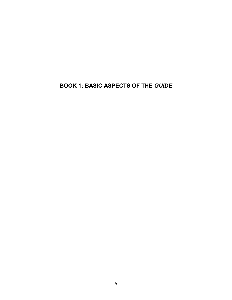# **BOOK 1: BASIC ASPECTS OF THE** *GUIDE*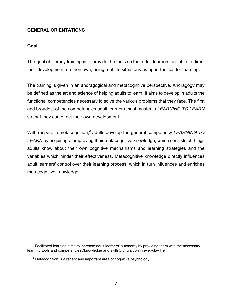# **GENERAL ORIENTATIONS**

## **Goal**

The goal of literacy training is to provide the tools so that adult learners are able to direct their development, on their own, using real-life situations as opportunities for learning.<sup>1</sup>

The training is given in an andragogical and metacognitive perspective. Andragogy may be defined as the art and science of helping adults to learn. It aims to develop in adults the functional competencies necessary to solve the various problems that they face. The first and broadest of the competencies adult learners must master is *LEARNING TO LEARN* so that they can direct their own development.

With respect to metacognition,<sup>2</sup> adults develop the general competency *LEARNING TO LEARN* by acquiring or improving their metacognitive knowledge, which consists of things adults know about their own cognitive mechanisms and learning strategies and the variables which hinder their effectiveness. Metacognitive knowledge directly influences adult learners' control over their learning process, which in turn influences and enriches metacognitive knowledge.

 $1$  Facilitated learning aims to increase adult learners' autonomy by providing them with the necessary learning tools and competenciesCknowledge and skillsCto function in everyday life.

 $2$  Metacognition is a recent and important area of cognitive psychology.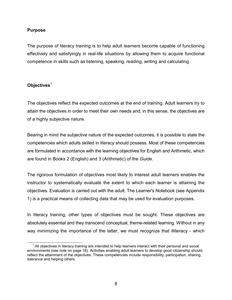## **Purpose**

The purpose of literacy training is to help adult learners become capable of functioning effectively and satisfyingly in real-life situations by allowing them to acquire functional competence in skills such as listening, speaking, reading, writing and calculating.

# **Objectives**<sup>1</sup>

The objectives reflect the expected outcomes at the end of training. Adult learners try to attain the objectives in order to meet their own needs and, in this sense, the objectives are of a highly subjective nature.

Bearing in mind the subjective nature of the expected outcomes, it is possible to state the competencies which adults skilled in literacy should possess. Most of these competencies are formulated in accordance with the learning objectives for English and Arithmetic, which are found in Books 2 (English) and 3 (Arithmetic) of the *Guide.*

The rigorous formulation of objectives most likely to interest adult learners enables the instructor to systematically evaluate the extent to which each learner is attaining the objectives. Evaluation is carried out with the adult. The Learner's Notebook (see Appendix 1) is a practical means of collecting data that may be used for evaluation purposes.

In literacy training, other types of objectives must be sought. These objectives are absolutely essential and they transcend conceptual, theme-related learning. Without in any way minimizing the importance of the latter, we must recognize that illiteracy - which

 $1$  All objectives in literacy training are intended to help learners interact with their personal and social environments (see note on page 18). Activities enabling adult learners to develop good citizenship should reflect the attainment of the objectives. These competencies include responsibility, participation, sharing, tolerance and helping others.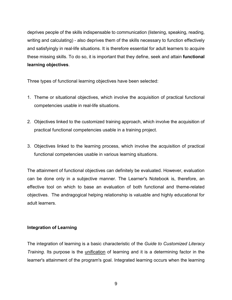deprives people of the skills indispensable to communication (listening, speaking, reading, writing and calculating) - also deprives them of the skills necessary to function effectively and satisfyingly in real-life situations. It is therefore essential for adult learners to acquire these missing skills. To do so, it is important that they define, seek and attain **functional learning objectives**.

Three types of functional learning objectives have been selected:

- 1. Theme or situational objectives, which involve the acquisition of practical functional competencies usable in real-life situations.
- 2. Objectives linked to the customized training approach, which involve the acquisition of practical functional competencies usable in a training project.
- 3. Objectives linked to the learning process, which involve the acquisition of practical functional competencies usable in various learning situations.

The attainment of functional objectives can definitely be evaluated. However, evaluation can be done only in a subjective manner. The Learner's Notebook is, therefore, an effective tool on which to base an evaluation of both functional and theme-related objectives. The andragogical helping relationship is valuable and highly educational for adult learners.

# **Integration of Learning**

The integration of learning is a basic characteristic of the *Guide to Customized Literacy Training*. Its purpose is the unification of learning and it is a determining factor in the learner's attainment of the program's goal. Integrated learning occurs when the learning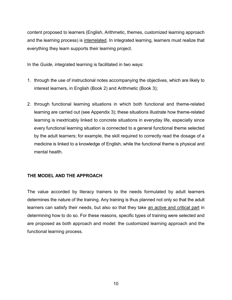content proposed to learners (English, Arithmetic, themes, customized learning approach and the learning process) is interrelated. In integrated learning, learners must realize that everything they learn supports their learning project.

In the *Guide*, integrated learning is facilitated in two ways:

- 1. through the use of instructional notes accompanying the objectives, which are likely to interest learners, in English (Book 2) and Arithmetic (Book 3);
- 2. through functional learning situations in which both functional and theme-related learning are carried out (see Appendix 3); these situations illustrate how theme-related learning is inextricably linked to concrete situations in everyday life, especially since every functional learning situation is connected to a general functional theme selected by the adult learners; for example, the skill required to correctly read the dosage of a medicine is linked to a knowledge of English, while the functional theme is physical and mental health.

# **THE MODEL AND THE APPROACH**

The value accorded by literacy trainers to the needs formulated by adult learners determines the nature of the training. Any training is thus planned not only so that the adult learners can satisfy their needs, but also so that they take an active and critical part in determining how to do so. For these reasons, specific types of training were selected and are proposed as both approach and model: the customized learning approach and the functional learning process.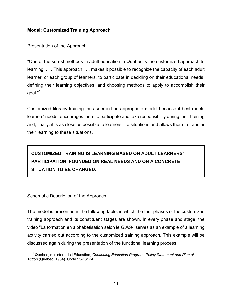# **Model: Customized Training Approach**

Presentation of the Approach

"One of the surest methods in adult education in QuÈbec is the customized approach to learning. . . . This approach . . . makes it possible to recognize the capacity of each adult learner, or each group of learners, to participate in deciding on their educational needs, defining their learning objectives, and choosing methods to apply to accomplish their goal."<sup>1</sup>

Customized literacy training thus seemed an appropriate model because it best meets learners' needs, encourages them to participate and take responsibility during their training and, finally, it is as close as possible to learners' life situations and allows them to transfer their learning to these situations.

# **CUSTOMIZED TRAINING IS LEARNING BASED ON ADULT LEARNERS' PARTICIPATION, FOUNDED ON REAL NEEDS AND ON A CONCRETE SITUATION TO BE CHANGED.**

Schematic Description of the Approach

The model is presented in the following table, in which the four phases of the customized training approach and its constituent stages are shown. In every phase and stage, the video "La formation en alphabétisation selon le *Guide*" serves as an example of a learning activity carried out according to the customized training approach. This example will be discussed again during the presentation of the functional learning process.

<sup>&</sup>lt;sup>1</sup> Québec, ministère de l'Éducation, *Continuing Education Program. Policy Statement and Plan of Action* (QuÈbec, 1984). Code 55-1317A.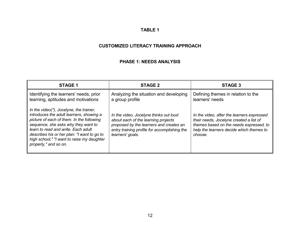## **TABLE 1**

# **CUSTOMIZED LITERACY TRAINING APPROACH**

#### **PHASE 1: NEEDS ANALYSIS**

| <b>STAGE 1</b>                                                                                                                                                                                                                                                                                                                       | <b>STAGE 2</b>                                                                                                                                                                               | STAGE 3                                                                                                                                                                                 |
|--------------------------------------------------------------------------------------------------------------------------------------------------------------------------------------------------------------------------------------------------------------------------------------------------------------------------------------|----------------------------------------------------------------------------------------------------------------------------------------------------------------------------------------------|-----------------------------------------------------------------------------------------------------------------------------------------------------------------------------------------|
| Identifying the learners' needs, prior<br>learning, aptitudes and motivations                                                                                                                                                                                                                                                        | Analyzing the situation and developing<br>a group profile                                                                                                                                    | Defining themes in relation to the<br>learners' needs                                                                                                                                   |
| In the video(*), Jocelyne, the trainer,<br>introduces the adult learners, showing a<br>picture of each of them. In the following<br>sequence, she asks why they want to<br>learn to read and write. Each adult<br>describes his or her plan: "I want to go to<br>high school," "I want to raise my daughter<br>properly," and so on. | In the video, Jocelyne thinks out loud<br>about each of the learning projects<br>proposed by the learners and creates an<br>entry training profile for accomplishing the<br>learners' goals. | In the video, after the learners expressed<br>their needs, Jocelyne created a list of<br>themes based on the needs expressed, to<br>help the learners decide which themes to<br>choose. |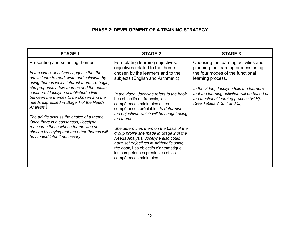# **PHASE 2: DEVELOPMENT OF A TRAINING STRATEGY**

| <b>STAGE 1</b>                                                                                                                                                                                                                                                                                                                                                                                                                                                                                                                                                                   | <b>STAGE 2</b>                                                                                                                                                                                                                                                                                                                                                                                                                                                                                                                                                                                                                                     | <b>STAGE 3</b>                                                                                                                                                                                                                                                                                              |
|----------------------------------------------------------------------------------------------------------------------------------------------------------------------------------------------------------------------------------------------------------------------------------------------------------------------------------------------------------------------------------------------------------------------------------------------------------------------------------------------------------------------------------------------------------------------------------|----------------------------------------------------------------------------------------------------------------------------------------------------------------------------------------------------------------------------------------------------------------------------------------------------------------------------------------------------------------------------------------------------------------------------------------------------------------------------------------------------------------------------------------------------------------------------------------------------------------------------------------------------|-------------------------------------------------------------------------------------------------------------------------------------------------------------------------------------------------------------------------------------------------------------------------------------------------------------|
| Presenting and selecting themes<br>In the video, Jocelyne suggests that the<br>adults learn to read, write and calculate by<br>using themes which interest them. To begin,<br>she proposes a few themes and the adults<br>continue. (Jocelyne established a link<br>between the themes to be chosen and the<br>needs expressed in Stage 1 of the Needs<br>Analysis.)<br>The adults discuss the choice of a theme.<br>Once there is a consensus, Jocelyne<br>reassures those whose theme was not<br>chosen by saying that the other themes will<br>be studied later if necessary. | Formulating learning objectives:<br>objectives related to the theme<br>chosen by the learners and to the<br>subjects (English and Arithmetic)<br>In the video, Jocelyne refers to the book,<br>Les objectifs en français, les<br>compétences minimales et les<br>compétences préalables to determine<br>the objectives which will be sought using<br>the theme.<br>She determines them on the basis of the<br>group profile she made in Stage 2 of the<br>Needs Analysis. Jocelyne also could<br>have set objectives in Arithmetic using<br>the book, Les objectifs d'arithmétique,<br>les compétences préalables et les<br>compétences minimales. | Choosing the learning activities and<br>planning the learning process using<br>the four modes of the functional<br>learning process.<br>In the video, Jocelyne tells the learners<br>that the learning activities will be based on<br>the functional learning process (FLP).<br>(See Tables 2, 3, 4 and 5.) |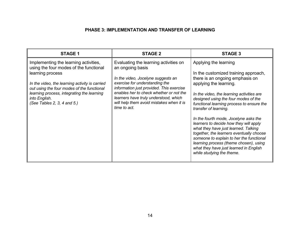# **PHASE 3: IMPLEMENTATION AND TRANSFER OF LEARNING**

| <b>STAGE 1</b>                                                                                                                                                                                                                                                                                    | <b>STAGE 2</b>                                                                                                                                                                                                                                                                                                                | <b>STAGE 3</b>                                                                                                                                                                                                                                                                                                                                                                                                                                                                                                                                                                                                            |
|---------------------------------------------------------------------------------------------------------------------------------------------------------------------------------------------------------------------------------------------------------------------------------------------------|-------------------------------------------------------------------------------------------------------------------------------------------------------------------------------------------------------------------------------------------------------------------------------------------------------------------------------|---------------------------------------------------------------------------------------------------------------------------------------------------------------------------------------------------------------------------------------------------------------------------------------------------------------------------------------------------------------------------------------------------------------------------------------------------------------------------------------------------------------------------------------------------------------------------------------------------------------------------|
| Implementing the learning activities,<br>using the four modes of the functional<br>learning process<br>In the video, the learning activity is carried<br>out using the four modes of the functional<br>learning process, integrating the learning<br>into English.<br>(See Tables 2, 3, 4 and 5.) | Evaluating the learning activities on<br>an ongoing basis<br>In the video, Jocelyne suggests an<br>exercise for understanding the<br>information just provided. This exercise<br>enables her to check whether or not the<br>learners have truly understood, which<br>will help them avoid mistakes when it is<br>time to act. | Applying the learning<br>In the customized training approach,<br>there is an ongoing emphasis on<br>applying the learning.<br>In the video, the learning activities are<br>designed using the four modes of the<br>functional learning process to ensure the<br>transfer of learning.<br>In the fourth mode, Jocelyne asks the<br>learners to decide how they will apply<br>what they have just learned. Talking<br>together, the learners eventually choose<br>someone to explain to her the functional<br>learning process (theme chosen), using<br>what they have just learned in English<br>while studying the theme. |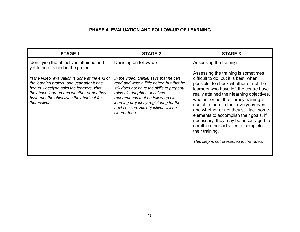# **PHASE 4: EVALUATION AND FOLLOW-UP OF LEARNING**

| <b>STAGE 1</b>                                                                                                                                                                                                                                  | <b>STAGE 2</b>                                                                                                                                                                                                                                                                                             | STAGE 3                                                                                                                                                                                                                                                                                                                                                                                                                                                                                                                                  |
|-------------------------------------------------------------------------------------------------------------------------------------------------------------------------------------------------------------------------------------------------|------------------------------------------------------------------------------------------------------------------------------------------------------------------------------------------------------------------------------------------------------------------------------------------------------------|------------------------------------------------------------------------------------------------------------------------------------------------------------------------------------------------------------------------------------------------------------------------------------------------------------------------------------------------------------------------------------------------------------------------------------------------------------------------------------------------------------------------------------------|
| Identifying the objectives attained and<br>yet to be attained in the project                                                                                                                                                                    | Deciding on follow-up                                                                                                                                                                                                                                                                                      | Assessing the training                                                                                                                                                                                                                                                                                                                                                                                                                                                                                                                   |
| In the video, evaluation is done at the end of<br>the learning project, one year after it has<br>begun. Jocelyne asks the learners what<br>they have learned and whether or not they<br>have met the objectives they had set for<br>themselves. | In the video, Daniel says that he can<br>read and write a little better, but that he<br>still does not have the skills to properly<br>raise his daughter. Jocelyne<br>recommends that he follow up his<br>learning project by registering for the<br>next session. His objectives will be<br>clearer then. | Assessing the training is sometimes<br>difficult to do, but it is best, when<br>possible, to check whether or not the<br>learners who have left the centre have<br>really attained their learning objectives,<br>whether or not the literacy training is<br>useful to them in their everyday lives<br>and whether or not they still lack some<br>elements to accomplish their goals. If<br>necessary, they may be encouraged to<br>enroll in other activities to complete<br>their training.<br>This step is not presented in the video. |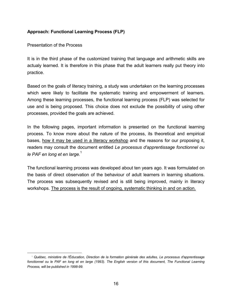# **Approach: Functional Learning Process (FLP)**

Presentation of the Process

It is in the third phase of the customized training that language and arithmetic skills are actualy learned. It is therefore in this phase that the adult learners really put theory into practice.

Based on the goals of literacy training, a study was undertaken on the learning processes which were likely to facilitate the systematic training and empowerment of learners. Among these learning processes, the functional learning process (FLP) was selected for use and is being proposed. This choice does not exclude the possibility of using other processes, provided the goals are achieved.

In the following pages, important information is presented on the functional learning process. To know more about the nature of the process, its theoretical and empirical bases, how it may be used in a literacy workshop and the reasons for our proposing it, readers may consult the document entitled *Le processus d'apprentissage fonctionnel ou le PAF en long et en large.*<sup>1</sup>

The functional learning process was developed about ten years ago. It was formulated on the basis of direct observation of the behaviour of adult learners in learning situations. The process was subsequently revised and is still being improved, mainly in literacy workshops. The process is the result of ongoing, systematic thinking in and on action.

 <sup>1</sup> *QuÈbec, ministËre de l'…ducation, Direction de la formation gÈnÈrale des adultes, Le processus d'apprentissage fonctionnel ou le PAF en long et en large (1993). The English version of this document, The Functional Learning Process, will be published in 1998-99.*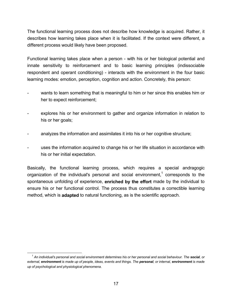The functional learning process does not describe how knowledge is acquired. Rather, it describes how learning takes place when it is facilitated. If the context were different, a different process would likely have been proposed.

Functional learning takes place when a person - with his or her biological potential and innate sensitivity to reinforcement and to basic learning principles (indissociable respondent and operant conditioning) - interacts with the environment in the four basic learning modes: emotion, perception, cognition and action. Concretely, this person:

- wants to learn something that is meaningful to him or her since this enables him or her to expect reinforcement;
- explores his or her environment to gather and organize information in relation to his or her goals;
- analyzes the information and assimilates it into his or her cognitive structure;
- uses the information acquired to change his or her life situation in accordance with his or her initial expectation.

Basically, the functional learning process, which requires a special andragogic organization of the individual's personal and social environment,<sup>1</sup> corresponds to the spontaneous unfolding of experience, **enriched by the effort** made by the individual to ensure his or her functional control. The process thus constitutes a correctible learning method, which is **adapted** to natural functioning, as is the scientific approach.

*<sup>1</sup> An individual's personal and social environment determines his or her personal and social behaviour. The social, or external, environment is made up of people, ideas, events and things. The personal, or internal, environment is made up of psychological and physiological phenomena.*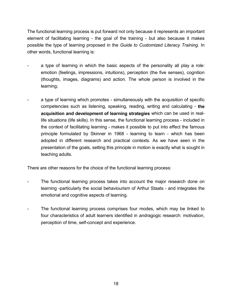The functional learning process is put forward not only because it represents an important element of facilitating learning - the goal of the training - but also because it makes possible the type of learning proposed in the *Guide to Customized Literacy Training*. In other words, functional learning is:

- a type of learning in which the basic aspects of the personality all play a role: emotion (feelings, impressions, intuitions), perception (the five senses), cognition (thoughts, images, diagrams) and action. The whole person is involved in the learning;
- a type of learning which promotes simultaneously with the acquisition of specific competencies such as listening, speaking, reading, writing and calculating - **the acquisition and development of learning strategies** which can be used in reallife situations (life skills). In this sense, the functional learning process - included in the context of facilitating learning - makes it possible to put into effect the famous principle formulated by Skinner in 1968 - learning to learn - which has been adopted in different research and practical contexts. As we have seen in the presentation of the goals, setting this principle in motion is exactly what is sought in teaching adults.

There are other reasons for the choice of the functional learning process:

- The functional learning process takes into account the major research done on learning -particularly the social behaviourism of Arthur Staats - and integrates the emotional and cognitive aspects of learning.
- The functional learning process comprises four modes, which may be linked to four characteristics of adult learners identified in andragogic research: motivation, perception of time, self-concept and experience.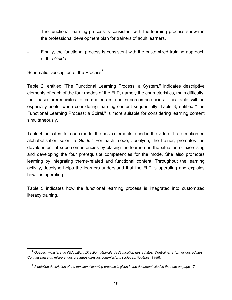- The functional learning process is consistent with the learning process shown in the professional development plan for trainers of adult learners.<sup>1</sup>
- Finally, the functional process is consistent with the customized training approach of this *Guide*.

Schematic Description of the Process<sup>2</sup>

Table 2, entitled "The Functional Learning Process: a System," indicates descriptive elements of each of the four modes of the FLP, namely the characteristics, main difficulty, four basic prerequisites to competencies and supercompetencies. This table will be especially useful when considering learning content sequentially. Table 3, entitled "The Functional Learning Process: a Spiral," is more suitable for considering learning content simultaneously.

Table 4 indicates, for each mode, the basic elements found in the video, "La formation en alphabÈtisation selon le *Guide*." For each mode, Jocelyne, the trainer, promotes the development of supercompetencies by placing the learners in the situation of exercising and developing the four prerequisite competencies for the mode. She also promotes learning by integrating theme-related and functional content. Throughout the learning activity, Jocelyne helps the learners understand that the FLP is operating and explains how it is operating.

Table 5 indicates how the functional learning process is integrated into customized literacy training.

<sup>&</sup>lt;sup>1</sup> Québec, ministère de l'Éducation, Direction générale de l'éducation des adultes. S'entraîner à former des adultes : *Connaissance du milieu et des pratiques dans les commissions scolaires. (QuÈbec, 1988).*

<sup>&</sup>lt;sup>2</sup> A detailed description of the functional learning process is given in the document cited in the note on page 17.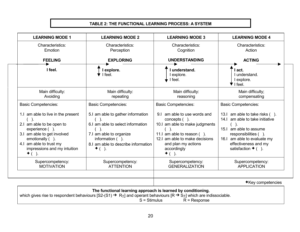## **TABLE 2: THE FUNCTIONAL LEARNING PROCESS: A SYSTEM**

| <b>LEARNING MODE 1</b>                                                                                                                                                                          | <b>LEARNING MODE 2</b>                                                                                                                                                                  | <b>LEARNING MODE 3</b>                                                                                                                                                                                             | <b>LEARNING MODE 4</b>                                                                                                                                                                                          |
|-------------------------------------------------------------------------------------------------------------------------------------------------------------------------------------------------|-----------------------------------------------------------------------------------------------------------------------------------------------------------------------------------------|--------------------------------------------------------------------------------------------------------------------------------------------------------------------------------------------------------------------|-----------------------------------------------------------------------------------------------------------------------------------------------------------------------------------------------------------------|
| Characteristics:<br>Emotion                                                                                                                                                                     | Characteristics:<br>Perception                                                                                                                                                          | Characteristics:<br>Cognition                                                                                                                                                                                      | Characteristics:<br>Action                                                                                                                                                                                      |
| <b>FEELING</b>                                                                                                                                                                                  | <b>EXPLORING</b>                                                                                                                                                                        | <b>UNDERSTANDING</b>                                                                                                                                                                                               | <b>ACTING</b>                                                                                                                                                                                                   |
| I feel.                                                                                                                                                                                         | explore.<br>I feel.                                                                                                                                                                     | understand.<br>explore.<br>I feel.                                                                                                                                                                                 | act.<br>I understand.<br>I explore.<br>I feel.                                                                                                                                                                  |
| Main difficulty:<br>Avoiding                                                                                                                                                                    | Main difficulty:<br>repeating                                                                                                                                                           | Main difficulty:<br>reasoning                                                                                                                                                                                      | Main difficulty;<br>compensating                                                                                                                                                                                |
| <b>Basic Competencies:</b>                                                                                                                                                                      | <b>Basic Competencies:</b>                                                                                                                                                              | <b>Basic Competencies:</b>                                                                                                                                                                                         | <b>Basic Competencies:</b>                                                                                                                                                                                      |
| 1.1 am able to live in the present<br>2.1 am able to be open to<br>$experience($ .<br>3.1 am able to get involved<br>emotionally ().<br>4.1 am able to trust my<br>impressions and my intuition | 5.I am able to gather information<br>6.1 am able to select information<br>7.I am able to organize<br>information $( )$ .<br>8.1 am able to describe information<br>$\blacklozenge$ ( ). | am able to use words and<br>91<br>concepts $( )$ .<br>10.I am able to make judgments<br>11.1 am able to reason ().<br>12.I am able to make decisions<br>and plan my actions<br>accordingly<br>$\blacklozenge$ ( ). | am able to take risks ().<br>13.1<br>am able to take initiative<br>14.1<br>am able to assume<br>15.1<br>responsibilities ().<br>16.1 am able to evaluate my<br>effectiveness and my<br>satisfaction $\star$ (). |
| Supercompetency:<br><b>MOTIVATION</b>                                                                                                                                                           | Supercompetency:<br><b>ATTENTION</b>                                                                                                                                                    | Supercompetency:<br><b>GENERALIZATION</b>                                                                                                                                                                          | Supercompetency:<br><b>APPLICATION</b>                                                                                                                                                                          |

| The functional learning approach is learned by conditioning,                                                                                                                |                |                |  |
|-----------------------------------------------------------------------------------------------------------------------------------------------------------------------------|----------------|----------------|--|
| which gives rise to respondent behaviours [S2-(S1) $\rightarrow$ R <sup><math>\pm</math></sup> ] and operant behaviours [R $\rightarrow$ S $\pm$ ] which are indissociable. |                |                |  |
|                                                                                                                                                                             | $S =$ Stimulus | $R =$ Response |  |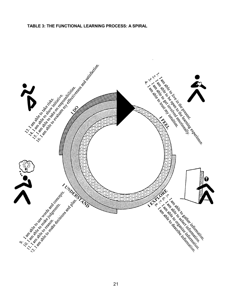#### **TABLE 3: THE FUNCTIONAL LEARNING PROCESS: A SPIRAL**

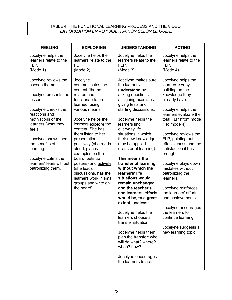## TABLE 4: THE FUNCTIONAL LEARNING PROCESS AND THE VIDEO, *LA FORMATION EN ALPHAB…TISATION SELON LE GUIDE*

| <b>FEELING</b>                                                                                                                                                                                                                                                                                                                                                | <b>EXPLORING</b>                                                                                                                                                                                                                                                                                                                                                                     | <b>UNDERSTANDING</b>                                                                                                                                                                                                                                                                                                                                                                                                                                                                                                                                                                                                                                                                                                         | <b>ACTING</b>                                                                                                                                                                                                                                                                                                                                                                                                                                                                                                                                                  |
|---------------------------------------------------------------------------------------------------------------------------------------------------------------------------------------------------------------------------------------------------------------------------------------------------------------------------------------------------------------|--------------------------------------------------------------------------------------------------------------------------------------------------------------------------------------------------------------------------------------------------------------------------------------------------------------------------------------------------------------------------------------|------------------------------------------------------------------------------------------------------------------------------------------------------------------------------------------------------------------------------------------------------------------------------------------------------------------------------------------------------------------------------------------------------------------------------------------------------------------------------------------------------------------------------------------------------------------------------------------------------------------------------------------------------------------------------------------------------------------------------|----------------------------------------------------------------------------------------------------------------------------------------------------------------------------------------------------------------------------------------------------------------------------------------------------------------------------------------------------------------------------------------------------------------------------------------------------------------------------------------------------------------------------------------------------------------|
| Jocelyne helps the<br>learners relate to the<br>FLP.<br>FLP.<br>(Mode 1)<br>(Mode 2)                                                                                                                                                                                                                                                                          | Jocelyne helps the<br>learners relate to the                                                                                                                                                                                                                                                                                                                                         | Jocelyne helps the<br>learners relate to the<br>FLP.<br>(Mode 3)                                                                                                                                                                                                                                                                                                                                                                                                                                                                                                                                                                                                                                                             | Jocelyne helps the<br>learners relate to the<br>FLP.<br>(Mode 4)                                                                                                                                                                                                                                                                                                                                                                                                                                                                                               |
| Jocelyne reviews the<br>Jocelyne<br>chosen theme.<br>related and<br>Jocelyne presents the<br>lesson.<br>Jocelyne checks the<br>reactions and<br>motivations of the<br>learners (what they<br>feel).<br>Jocelyne shows them<br>the benefits of<br>learning.<br>Jocelyne calms the<br>learners' fears without<br>patronizing them.<br>(she leads<br>the board). | communicates the<br>content (theme-<br>functional) to be<br>learned, using<br>various means.<br>Jocelyne helps the<br>learners explore the<br>content. She has<br>them listen to her<br>presentation<br>passively (she reads<br>aloud, places<br>examples on the<br>board, puts up<br>posters) and actively<br>discussions, has the<br>learners work in small<br>groups and write on | Jocelyne makes sure<br>the learners<br>understand by<br>asking questions,<br>assigning exercises,<br>giving tests and<br>starting discussions.<br>Jocelyne helps the<br>learners find<br>everyday life<br>situations in which<br>their new knowledge<br>may be applied<br>(transfer of learning).<br>This means the<br>transfer of learning<br>without which the<br>learners' life<br>situations would<br>remain unchanged<br>and the teacher's<br>and learners' efforts<br>would be, to a great<br>extent, useless.<br>Jocelyne helps the<br>learners choose a<br>transfer situation.<br>Jocelyne helps them<br>plan the transfer: who<br>will do what? where?<br>when? how?<br>Jocelyne encourages<br>the learners to act. | Jocelyne helps the<br>learners act by<br>building on the<br>knowledge they<br>already have.<br>Jocelyne helps the<br>learners evaluate the<br>total FLP (from mode<br>1 to mode 4).<br>Jocelyne reviews the<br>FLP, pointing out its<br>effectiveness and the<br>satisfaction it has<br>brought.<br>Jocelyne plays down<br>mistakes without<br>patronizing the<br>learners.<br>Jocelyne reinforces<br>the learners' efforts<br>and achievements.<br>Jocelyne encourages<br>the learners to<br>continue learning.<br>Jocelyne suggests a<br>new learning topic. |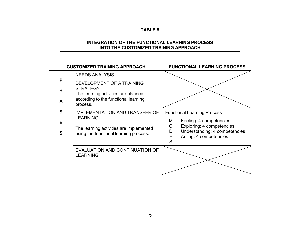## **TABLE 5**

# **INTEGRATION OF THE FUNCTIONAL LEARNING PROCESS INTO THE CUSTOMIZED TRAINING APPROACH**

|        | <b>CUSTOMIZED TRAINING APPROACH</b>                                                                  | <b>FUNCTIONAL LEARNING PROCESS</b>                                                                                                             |
|--------|------------------------------------------------------------------------------------------------------|------------------------------------------------------------------------------------------------------------------------------------------------|
|        | <b>NEEDS ANALYSIS</b>                                                                                |                                                                                                                                                |
| P      | DEVELOPMENT OF A TRAINING                                                                            |                                                                                                                                                |
| H      | <b>STRATEGY</b><br>The learning activities are planned                                               |                                                                                                                                                |
| A      | according to the functional learning<br>process.                                                     |                                                                                                                                                |
| S      | <b>IMPLEMENTATION AND TRANSFER OF</b>                                                                | <b>Functional Learning Process</b>                                                                                                             |
| E<br>S | <b>LEARNING</b><br>The learning activities are implemented<br>using the functional learning process. | Feeling: 4 competencies<br>M<br>Exploring: 4 competencies<br>$\circ$<br>Understanding: 4 competencies<br>D<br>E<br>Acting: 4 competencies<br>S |
|        | EVALUATION AND CONTINUATION OF<br><b>LEARNING</b>                                                    |                                                                                                                                                |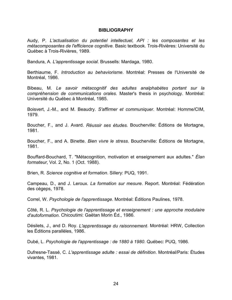### **BIBLIOGRAPHY**

Audy, P. *L'actualisation du potentiel intellectuel, API : les composantes et les métacomposantes de l'efficience cognitive.* Basic textbook. Trois-Rivières: Université du Québec à Trois-Rivières, 1989.

Bandura, A. *L'apprentissage social*. Brussells: Mardaga, 1980.

Berthiaume, F. *Introduction au behaviorisme*. Montréal: Presses de l'Université de Montréal, 1986.

Bibeau, M. Le savoir métacognitif des adultes analphabètes portant sur la *compréhension de communications orales*. Master's thesis in psychology. Montréal: Université du Québec à Montréal, 1985.

Boisvert, J.-M., and M. Beaudry. S'affirmer et communiquer. Montréal: Homme/CIM, 1979.

Boucher, F., and J. Avard. *Réussir ses études*. Boucherville: Éditions de Mortagne, 1981.

Boucher, F., and A. Binette. *Bien vivre le stress*. Boucherville: Éditions de Mortagne, 1981.

Bouffard-Bouchard, T. "Métacognition, motivation et enseignement aux adultes." *Élan formateur*, Vol. 2, No. 1 (Oct. 1988).

Brien, R. *Science cognitive et formation*. Sillery: PUQ, 1991.

Campeau, D., and J. Leroux. *La formation sur mesure*. Report. Montréal: Fédération des cégeps, 1978.

Correl, W. Psychologie de l'apprentissage. Montréal: Éditions Paulines, 1978.

Côté, R. L. *Psychologie de l'apprentissage et enseignement : une approche modulaire d'autoformation*. Chicoutimi: Gaëtan Morin Éd., 1986.

Désilets, J., and D. Roy. *L'apprentissage du raisonnement*. Montréal: HRW, Collection les Éditions parallèles, 1986.

DubÈ, L. *Psychologie de l'apprentissage : de 1880 ‡ 1980*. QuÈbec: PUQ, 1986.

Dufresne-Tassé, C. *L'apprentissage adulte : essai de définition*. Montréal/Paris: Études vivantes, 1981.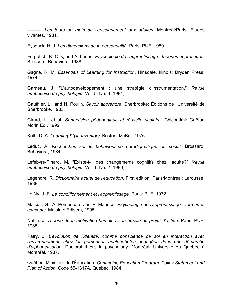--------. *Les tours de main de l'enseignement aux adultes*. Montréal/Paris: Études vivantes, 1981.

Eysenck, H. J. *Les dimensions de la personnalitÈ*. Paris: PUF, 1959.

Forget, J., R. Otis, and A. Leduc. *Psychologie de l'apprentissage : théories et pratiques.* Brossard: Behaviora, 1988.

GagnÈ, R. M. *Essentials of Learning for Instruction*. Hinsdale, Illinois: Dryden Press, 1974.

Garneau, J. "L'autodÈveloppement : une stratÈgie d'instrumentation." *Revue quÈbÈcoise de psychologie*, Vol. 5, No. 3 (1984).

Gauthier, L., and N. Poulin. *Savoir apprendre*. Sherbrooke: Éditions de l'Université de Sherbrooke, 1983.

Girard, L., et al. *Supervision pédagogique et réussite scolaire*. Chicoutimi: Gaëtan Morin Éd., 1992.

Kolb, D. A. *Learning Style Inventory*. Boston: McBer, 1976.

Leduc, A. *Recherches sur le behaviorisme paradigmatique ou social*. Brossard: Behaviora, 1984.

Lefebvre-Pinard, M. "Existe-t-il des changements cognitifs chez l'adulte?" *Revue quÈbÈcoise de psychologie*, Vol. 1, No. 2 (1980).

Legendre, R. *Dictionnaire actuel de l'éducation*. First edition. Paris/Montréal: Larousse, 1988.

Le Ny, J.-F. *Le conditionnement et l'apprentissage*. Paris: PUF, 1972.

Malcuit, G., A. Pomerleau, and P. Maurice. *Psychologie de l'apprentissage : termes et concepts*. Maloine: Edisem, 1995.

Nuttin, J. *Theorie de la motivation humaine : du besoin au projet d'action*. Paris: PUF, 1985.

Patry, J. *L'Èvolution de l'identitÈ, comme conscience de soi en interaction avec l'environnement, chez les personnes analphabètes engagées dans une démarche* d'alphabétisation. Doctoral thesis in psychology. Montréal: Université du Québec à Montréal, 1987.

Québec. Ministère de l'Éducation. *Continuing Education Program. Policy Statement and Plan of Action*. Code 55-1317A. QuÈbec, 1984.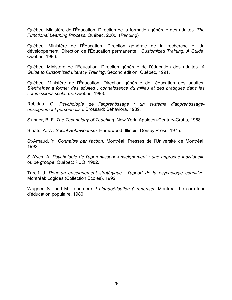Québec. Ministère de l'Éducation. Direction de la formation générale des adultes. *The Functional Learning Process*. QuÈbec, 2000. (*Pending*)

Québec. Ministère de l'Éducation. Direction générale de la recherche et du développement. Direction de l'Éducation permanente. *Customized Training: A Guide*. QuÈbec, 1986.

Québec. Ministère de l'Éducation. Direction générale de l'éducation des adultes. A *Guide to Customized Literacy Training*. Second edition. QuÈbec, 1991.

Québec. Ministère de l'Éducation. Direction générale de l'éducation des adultes. S'entraîner à former des adultes : connaissance du milieu et des pratiques dans les *commissions scolaires*. QuÈbec, 1988.

Robidas, G. Psychologie de l'apprentissage : un système d'apprentissage*enseignement personnalisÈ*. Brossard: Behaviora, 1989.

Skinner, B. F. *The Technology of Teaching*. New York: Appleton-Century-Crofts, 1968.

Staats, A. W. *Social Behaviourism.* Homewood, Illinois: Dorsey Press, 1975.

St-Arnaud, Y. Connaître par l'action. Montréal: Presses de l'Université de Montréal, 1992.

St-Yves, A. *Psychologie de l'apprentissage-enseignement : une approche individuelle ou de groupe*. QuÈbec: PUQ, 1982.

Tardif, J. *Pour un enseignement stratÈgique : l'apport de la psychologie cognitive*. Montréal: Logides (Collection Écoles), 1992.

Wagner, S., and M. Laperrière. *L'alphabétisation à repenser*. Montréal: Le carrefour d'Èducation populaire, 1980.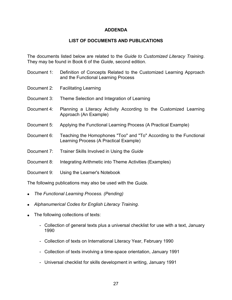## **ADDENDA**

## **LIST OF DOCUMENTS AND PUBLICATIONS**

The documents listed below are related to the *Guide to Customized Literacy Training*. They may be found in Book 6 of the *Guide*, second edition.

- Document 1: Definition of Concepts Related to the Customized Learning Approach and the Functional Learning Process
- Document 2: Facilitating Learning
- Document 3: Theme Selection and Integration of Learning
- Document 4: Planning a Literacy Activity According to the Customized Learning Approach (An Example)
- Document 5: Applying the Functional Learning Process (A Practical Example)
- Document 6: Teaching the Homophones "Too" and "To" According to the Functional Learning Process (A Practical Example)
- Document 7: Trainer Skills Involved in Using the *Guide*
- Document 8: Integrating Arithmetic into Theme Activities (Examples)
- Document 9: Using the Learner's Notebook

The following publications may also be used with the *Guide*.

- *The Functional Learning Process. (Pending)*
- *Alphanumerical Codes for English Literacy Training*.
- The following collections of texts:
	- Collection of general texts plus a universal checklist for use with a text, January 1990
	- Collection of texts on International Literacy Year, February 1990
	- Collection of texts involving a time-space orientation, January 1991
	- Universal checklist for skills development in writing, January 1991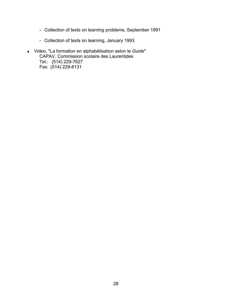- Collection of texts on learning problems, September 1991
- Collection of texts on learning, January 1993
- Video, "La formation en alphabÈtisation selon le *Guide*" CAPAV. Commission scolaire des Laurentides Tel.: (514) 229-7627 Fax: (514) 229-8131